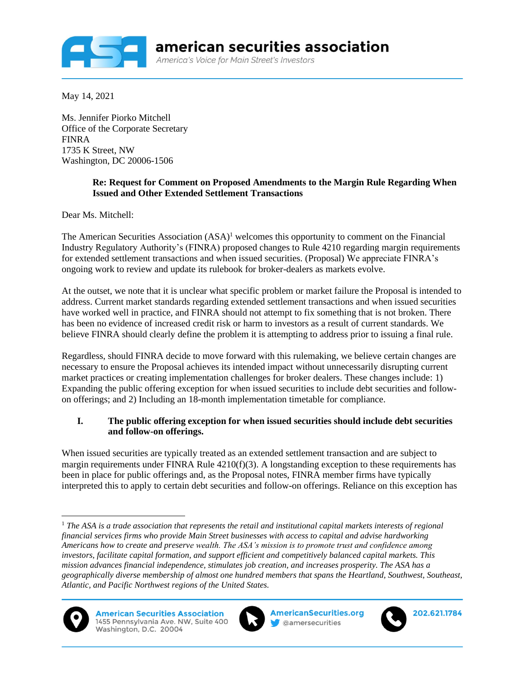

May 14, 2021

Ms. Jennifer Piorko Mitchell Office of the Corporate Secretary FINRA 1735 K Street, NW Washington, DC 20006-1506

## **Re: Request for Comment on Proposed Amendments to the Margin Rule Regarding When Issued and Other Extended Settlement Transactions**

Dear Ms. Mitchell:

The American Securities Association (ASA)<sup>1</sup> welcomes this opportunity to comment on the Financial Industry Regulatory Authority's (FINRA) proposed changes to Rule 4210 regarding margin requirements for extended settlement transactions and when issued securities. (Proposal) We appreciate FINRA's ongoing work to review and update its rulebook for broker-dealers as markets evolve.

At the outset, we note that it is unclear what specific problem or market failure the Proposal is intended to address. Current market standards regarding extended settlement transactions and when issued securities have worked well in practice, and FINRA should not attempt to fix something that is not broken. There has been no evidence of increased credit risk or harm to investors as a result of current standards. We believe FINRA should clearly define the problem it is attempting to address prior to issuing a final rule.

Regardless, should FINRA decide to move forward with this rulemaking, we believe certain changes are necessary to ensure the Proposal achieves its intended impact without unnecessarily disrupting current market practices or creating implementation challenges for broker dealers. These changes include: 1) Expanding the public offering exception for when issued securities to include debt securities and followon offerings; and 2) Including an 18-month implementation timetable for compliance.

## **I. The public offering exception for when issued securities should include debt securities and follow-on offerings.**

When issued securities are typically treated as an extended settlement transaction and are subject to margin requirements under FINRA Rule 4210(f)(3). A longstanding exception to these requirements has been in place for public offerings and, as the Proposal notes, FINRA member firms have typically interpreted this to apply to certain debt securities and follow-on offerings. Reliance on this exception has

<sup>1</sup> *The ASA is a trade association that represents the retail and institutional capital markets interests of regional financial services firms who provide Main Street businesses with access to capital and advise hardworking Americans how to create and preserve wealth. The ASA's mission is to promote trust and confidence among investors, facilitate capital formation, and support efficient and competitively balanced capital markets. This mission advances financial independence, stimulates job creation, and increases prosperity. The ASA has a geographically diverse membership of almost one hundred members that spans the Heartland, Southwest, Southeast, Atlantic, and Pacific Northwest regions of the United States.*